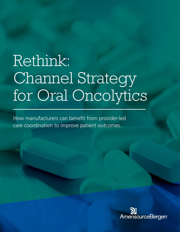# Rethink: Channel Strategy for Oral Oncolytics

How manufacturers can benefit from provider-led care coordination to improve patient outcomes.

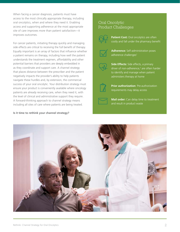When facing a cancer diagnosis, patients must have access to the most clinically appropriate therapy, including oral oncolytics, when and where they need it. Enabling access and supporting adherence at the most appropriate site of care improves more than patient satisfaction—it improves outcomes.

For cancer patients, initiating therapy quickly and managing side effects are critical to receiving the full benefit of therapy. Equally important is an array of factors that influence whether a patient remains on therapy, including how well the patient understands the treatment regimen, affordability and other potential barriers that providers are deeply embedded in as they coordinate and support care. A channel strategy that places distance between the prescriber and the patient negatively impacts the provider's ability to help patients navigate these hurdles and, by extension, the commercial success of your oral oncolytic. Your distribution strategy must ensure your product is conveniently available where oncology patients are already receiving care, when they need it, with the level of clinical and administrative support they require. A forward-thinking approach to channel strategy means including all sites of care where patients are being treated.

#### **Is it time to rethink your channel strategy?**

### Oral Oncolytic Product Challenges



**Patient Cost:** Oral oncolytics are often costly and fall under the pharmacy benefit



**Adherence:** Self-administration poses adherence challenges<sup>1</sup>







**Prior authorization**: Pre-authorization requirements may delay access



**Mail order:** Can delay time to treatment and result in product waste

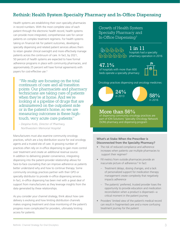## Rethink: Health System Specialty Pharmacy and In-Office Dispensing

Health systems are establishing their own specialty pharmacies in record numbers. With the most complete view of each patient through the electronic health record, health systems can provide more integrated, comprehensive care for cancer patients on complex treatment regimens. For health systems taking on financial risk for patient outcomes, developing specialty dispensing and related patient services allows them to retain greater clinical oversight and more effectively manage patients across the continuum of care. In fact, by 2021, 50 percent of health systems are expected to have formal adherence programs in place with community pharmacies, and approximately 25 percent will have formal agreements with payers for cost-effective use.4

"We really are focusing on the total continuum of care and all transition points. Our pharmacists and pharmacy technicians are taking care of patients when they're at home. And we're looking at a pipeline of drugs that are administered on the outpatient side or in the patient's home, so we are measuring outcomes in these hightouch, very acute care patients."

*– Despina Kotis, Director of Pharmacy, Northwestern Memorial Hospital*

Manufacturers must also examine community oncology practices, which are a key distribution source for oral oncology agents and a trusted site of care. A growing number of practices often rely on in-office dispensing to gain more control over treatment and create an additional revenue source. In addition to delivering greater convenience, integrating dispensing into the patient-provider relationship allows for face-to-face counseling that can improve adherence as patients better understand why and how to continue therapy. Some community oncology practices partner with their GPO or specialty distributor to provide in-office dispensing services. In fact, in-office dispensing has been met with a great deal of support from manufacturers as they leverage insights from the data generated by these relationships.

As you consider your channel strategy, think about how care delivery is evolving and how limiting distribution channels makes ongoing treatment and close monitoring of the patient's progress more complicated for providers, ultimately limiting access for patients.

Growth of Health System Specialty Pharmacy and In-Office Dispensing3

## $\begin{tabular}{c} \bf 66666 \end{tabular}$

1 in 11

hospitals had a specialty  $\bigoplus \bigoplus \bigoplus \bigoplus \bigoplus$   $\bigoplus$  pharmacy operation in 2016

## 47.1%

of hospitals with more than 600 beds operate a specialty pharmacy



Oncology practices dispensing oral oncology medicines:

## $24\%$  $58%$ in 2016

## More than 56%

of dispensing community oncology practices are part of ION Solutions' Specialty Oncology Network (SON) pharmacy and dispensing program

#### **What's at Stake When the Prescriber is Disconnected from the Specialty Pharmacy?**

- The risk of reduced compliance and adherence increases when patients use multiple pharmacies to support their regimen<sup>5</sup>
- Fill metrics from outside pharmacies provide an inacurrate picture of adherence.<sup>6</sup> In fact:
	- Treatment delays, dosing changes, and a lack of personalized support for medication therapy management create complexity that negatively impacts adherence
	- The patients' preferred, trusted provider loses the opportunity to provide education and medication reconciliation when a product is dispensed—a critical moment in the patient journey
- Providers' limited view of the patient's medical record can result in fragmented care and a more confusing treatment journey for the patient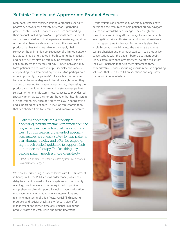## Rethink: Timely and Appropriate Product Access

Manufacturers may consider limiting a product's specialty pharmacy network for a variety of reasons: garnering greater control over the patient experience surrounding their product, including how/when patients access it and the support associated with that experience; easier aggregation of specialty pharmacy data; or reducing the volume of product that has to be available in the supply chain. However, the unintended consequence of a limited network is that patients being treated in both community practices and health system sites of care may be restricted in their ability to access the therapy quickly. Limited networks may force patients to deal with multiple specialty pharmacies, complicating their treatment experience. And perhaps even more importantly, the patients' full care team is not able to provide the same degree of clinical oversight when they are not connected to the specialty pharmacy dispensing the product and providing the pre- and post-dispense patient services. When manufacturers restrict access to provider-led specialty pharmacies, they ignore the role that health system SPs and community oncology practices play in coordinating and supporting patient care—a level of care coordination that can shorten time to treatment and improve outcomes.

"Patients appreciate the simplicity of accessing their full treatment regimen from the physician practice or hospital they know and trust. For this reason, provider-led specialty pharmacies are ideally suited to help patients start therapy quickly and offer the ongoing, high-touch clinical guidance to support their adherence to therapy. The last thing any cancer patient needs is more complexity."

*– Willis Chandler, President, Health Systems & Services AmerisourceBergen*

With on-site dispensing, a patient leaves with their treatment in hand; unlike the PBM-led mail order model, which can delay treatment by weeks.<sup>7</sup> Health systems and community oncology practices are also better equipped to provide comprehensive clinical support, including patient education, medication management, adherence interventions and real-time monitoring of side effects. Partial fill dispensing programs and toxicity checks allow for early side effect management and related dose adjustments, minimizing product waste and cost, while optimizing treatment.

Health systems and community oncology practices have developed the resources to help patients quickly navigate access and affordability challenges. Increasingly, these sites of care are finding efficient ways to handle benefits investigation, prior authorization and financial assistance to help speed time to therapy. Technology is also playing a role by creating visibility into the patient's treatment cost so physician and pharmacy staff can lead productive conversations with the patient before treatment begins. Many community oncology practices leverage tools from their GPO partners that help them streamline these administrative services, including robust in-house dispensing solutions that help them fill prescriptions and adjudicate claims within one interface.

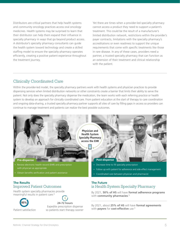Distributors are critical partners that help health systems and community oncology practices access oral oncology medicines. Health systems may be surprised to learn that their distributor can help them expand their influence in specialty pharmacy in ways that go beyond product access. A distributor's specialty pharmacy consultants can guide the health system toward technology and create a skilled staffing model to ensure the specialty pharmacy operates efficiently, creating a positive patient experience throughout the treatment journey.

Yet there are times when a provider-led specialty pharmacy cannot access a product they need to support a patient's treatment. This could be the result of a manufacturer's limited distribution network, restrictions within the provider's payer contracts, limitations with the specialty pharmacy's accreditations or even readiness to support the unique requirements that come with specific treatments like those in rare disease. In any of these cases, providers need a partner, a trusted specialty pharmacy that can function as an extension of their treatment and clinical relationship with the patient.

#### Clinically Coordinated Care

Within the provider-led model, the specialty pharmacy partners work with health systems and physician practices to provide dispensing services when limited distribution networks or other constraints create a barrier that limits their ability to serve the patient. Not only does the specialty pharmacy dispense the medication, the team works with each referring practice or health system to develop an approach for clinically coordinated care. From patient education at the start of therapy to care coordination and ongoing data-sharing, a trusted specialty pharmacy partner supports all sites of care by filling gaps in access so providers can continue to manage treatment and patients can realize the best possible outcomes.



Health system specialty pharmacies provide meaningful results in patient care.<sup>8</sup>



Expedite prescription dispense so patients start therapy sooner **95% 24-72 hours**

## is Health System Specialty Pharmacy

By 2021, **50% of HS** will have **formal adherence programs** with **community pharmacies**. 9

By 2021, about **25% of HS** will have **formal agreements**  with **payers** for **cost-effective** use.<sup>9</sup>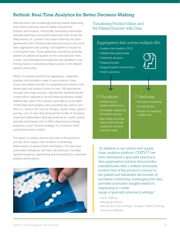## Rethink: Real-Time Analytics for Better Decision-Making

Manufacturers are increasingly looking toward dispensing and clinical outcomes data to better characterize product performance. Historically, harvesting meaningful specialty pharmacy and patient-level data that shows the effectiveness of a product has meant entering into data agreements with individual specialty pharmacies and niche data aggregators and pulling it all together in-house for a full-market view. These additional contracting activities present an additional burden on the manufacturer from a time, cost and expense perspective and represent a key limiting factor in providing product access to the desired patient community.

What if a solution existed that aggregates, integrates, analyzes and provides a view of your product's data across the patient journey? A comprehensive solution that allows data and product access to over 100 pharmacies through one single contract, significantly streamlining the current effort required to access these pharmacies today? Additionally, what if this solution provided an actionable unified data and analytics view providing key metrics and KPIs (i.e., time to fill, time on therapy, market share, patient journey, cost of care) that removed the hurdle of including small and independent specialty pharmacies, health system specialty pharmacies and in-office dispensing oncology practices in your channel strategy? It's a solution that's quickly becoming a reality.

The result is a holistic end-to-end view of the product's journey, from supply chain analytics to pharmacy effectiveness to patient-level information. This real-time, actionable intelligence will help manufacturers facilitate optimal targeting, segmenting and forecasting for improved product performance.



## Visualizing Product Value and the Patient Journey with Data

### Aggregated data across multiple SPs

- Supply chain analytics, PLUS:
- **Deidentified patient data**
- **Treatment decisions**
- Dispensing data
- **Targeted patient interventions**
- **Heath outcomes**

- **Unified view of** product performance
- Actionable insights into the patient journey
- Real-world outcomes data to demonstrate a product's clinical & economic value

#### 1 Produces (1) Reduces

- **Excessive contracting**
- **Access barriers**
- **Burden of managing** multiple SPs

"In addition to our end-to-end supply chain analytics platform, CERTIO<sup>TM</sup>, we have developed a specialty pharmacy data aggregation solution that provides manufacturers with a unified, actionable market view of the product's journey to the patient and eliminates the burden of excessive contracting. Leveraging this data provides actionable insights related to dispensing in a wide

range of specialty pharmacy settings."

*– Kevin Hallinan Managing Director, Data Services and Strategy, Strategic Global Sourcing AmerisourceBergen*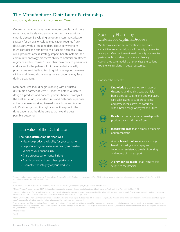## The Manufacturer-Distributor Partnership

*Improving Access and Outcomes for Patients*

Oncology therapies have become more complex and more expensive, while also increasingly turning cancer into a chronic disease. Developing an optimal commercialization strategy for an oral oncology medication requires frank discussions with all stakeholders. Those conversations must consider the ramifications of access decisions. How will a product's access strategy impact health systems' and community oncology practices' ability to optimize treatment regimens and outcomes? Given their proximity to prescribers and access to the patient's EHR, provider-led specialty pharmacies are ideally suited to quickly navigate the many clinical and financial challenges cancer patients may face during treatment.

Manufacturers should begin working with a trusted distribution partner at least 18 months before launch to design a product- and patient-specific channel strategy. In the best situations, manufacturers and distribution partners act as one team working toward shared success. Above all, it's about getting the right cancer therapies to the right patients at the right time to achieve the best possible outcomes.

## The Value of the Distributor

#### **The right distribution partner will:**

- Maximize product availability for your customers
- . Help you recognize revenue as quickly as possible
- Minimize your financial risk
- **Share product performance insight**
- **.** Provide patient and prescriber uptake data
- **Guarantee the integrity of your products**

### Specialty Pharmacy Criteria for Optimal Access

While clinical expertise, accreditation and data capabilities are essential, not all specialty pharmacies are equal. Manufacturer-aligned specialty pharmacies partner with providers to execute a clinically coordinated care model that prioritizes the patient experience, resulting in better outcomes.

#### Consider the benefits:



**Knowledge** that comes from national dispensing and nursing support, fieldbased provider sales teams and managed care sales teams to support patients and prescribers, as well as contracts with a broad range of payers and PBMs.



**Reach** that comes from partnership with providers across all sites of care.



**Integrated data** that is timely, actionable and transparent.



A wide **breadth of services**, including benefits investigation, co-pay and foundation assistance, timely dispensing and robust clinical support.



A **provider-led model** that "returns the script" to the practice.

<sup>1</sup>Lindsey, Heather. Improving Adherence to Oral Oncolytics. Oncology Times. 25 October, 2011. Accessed 16 April 2018. Available online at https://journals.lww.com/oncology-times/Fulltext/2011/10251/ Improving\_Adherence\_to\_Oral\_Oncolytics.3.aspx

2 Ibid.

3 Fein, Adam J., The 2018 Economic Report on U.S. Pharmacies and Pharmacy Benefit Managers, Drug Channels Institute, 2018.

4 Zellmer WA, ed. Pharmacy forecast 2017: strategic planning advice for pharmacy departments in hospitals and health systems. Am J Health-Syst Pharm. 2016; 73:e617-43

5 Marcum, Zachary et al. Effect of Multiple Pharmacy Use on Medication Adherence and Drug–Drug Interactions in Older Adults with Medicare Part D. Journal of the American Geriatrics Society. 21 Jan 2014. Accessed 16 April 2018. Available online at https://onlinelibrary.wiley.com/doi/abs/10.1111/jgs.12645.

6 Blank, Christine. Mandatory Mail Order Can Hinder Medication Adherence. Drug Topics. 15 September 2012. Accessed 16 April 2018. Available onine at http://drugtopics.modernmedicine.com/drug-topics/ news/modernmedicine/modern-medicine-feature-articles/mandatory-mail-order-can-hinder-med

7 Egerton, Nancy J. In-Office Dispensing of Oral Oncolytics: A Continuity of Care and Cost Mitigation Model for Cancer Patients. American Journal of Managed Care. 18 March 2016. Accessed 23 April 2018. Available online at http://www.ajmc.com/journals/supplement/2016/improving-patient-access-to-critical-therapies-in-the-age-of-cost-sharing/in-office-dispensing-of-oral-oncolytics-a-continuity-of-care-and-costmitigation-model-for-cancer-patients.

8 Proprietary data.

9 Ibid 4.